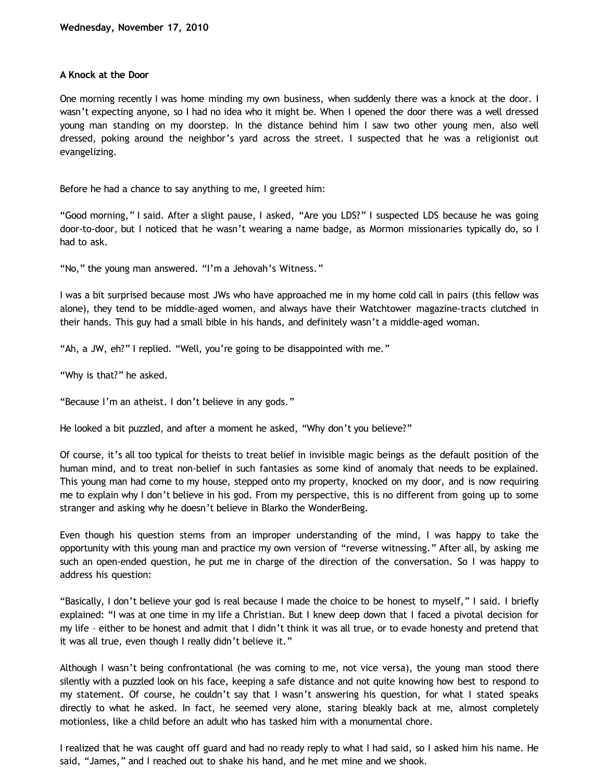## **A Knock at the Door**

One morning recently I was home minding my own business, when suddenly there was a knock at the door. I wasn't expecting anyone, so I had no idea who it might be. When I opened the door there was a well dressed young man standing on my doorstep. In the distance behind him I saw two other young men, also well dressed, poking around the neighbor's yard across the street. I suspected that he was a religionist out evangelizing.

Before he had a chance to say anything to me, I greeted him:

"Good morning," I said. After a slight pause, I asked, "Are you LDS?" I suspected LDS because he was going door-to-door, but I noticed that he wasn't wearing a name badge, as Mormon missionaries typically do, so I had to ask.

"No," the young man answered. "I'm a Jehovah's Witness."

I was a bit surprised because most JWs who have approached me in my home cold call in pairs (this fellow was alone), they tend to be middle-aged women, and always have their Watchtower magazine-tracts clutched in their hands. This guy had a small bible in his hands, and definitely wasn't a middle-aged woman.

"Ah, a JW, eh?" I replied. "Well, you're going to be disappointed with me."

"Why is that?" he asked.

"Because I'm an atheist. I don't believe in any gods."

He looked a bit puzzled, and after a moment he asked, "Why don't you believe?"

Of course, it's all too typical for theists to treat belief in invisible magic beings as the default position of the human mind, and to treat non-belief in such fantasies as some kind of anomaly that needs to be explained. This young man had come to my house, stepped onto my property, knocked on my door, and is now requiring me to explain why I don't believe in his god. From my perspective, this is no different from going up to some stranger and asking why he doesn't believe in Blarko the WonderBeing.

Even though his question stems from an improper understanding of the mind, I was happy to take the opportunity with this young man and practice my own version of "reverse witnessing." After all, by asking me such an open-ended question, he put me in charge of the direction of the conversation. So I was happy to address his question:

"Basically, I don't believe your god is real because I made the choice to be honest to myself," I said. I briefly explained: "I was at one time in my life a Christian. But I knew deep down that I faced a pivotal decision for my life – either to be honest and admit that I didn't think it was all true, or to evade honesty and pretend that it was all true, even though I really didn't believe it."

Although I wasn't being confrontational (he was coming to me, not vice versa), the young man stood there silently with a puzzled look on his face, keeping a safe distance and not quite knowing how best to respond to my statement. Of course, he couldn't say that I wasn't answering his question, for what I stated speaks directly to what he asked. In fact, he seemed very alone, staring bleakly back at me, almost completely motionless, like a child before an adult who has tasked him with a monumental chore.

I realized that he was caught off guard and had no ready reply to what I had said, so I asked him his name. He said, "James," and I reached out to shake his hand, and he met mine and we shook.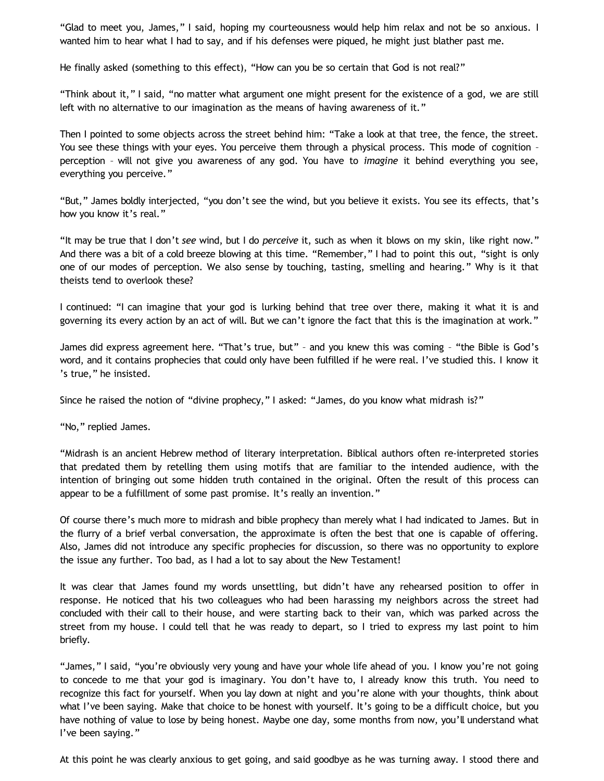"Glad to meet you, James," I said, hoping my courteousness would help him relax and not be so anxious. I wanted him to hear what I had to say, and if his defenses were piqued, he might just blather past me.

He finally asked (something to this effect), "How can you be so certain that God is not real?"

"Think about it," I said, "no matter what argument one might present for the existence of a god, we are still left with no alternative to our imagination as the means of having awareness of it."

Then I pointed to some objects across the street behind him: "Take a look at that tree, the fence, the street. You see these things with your eyes. You perceive them through a physical process. This mode of cognition – perception – will not give you awareness of any god. You have to *imagine* it behind everything you see, everything you perceive."

"But," James boldly interjected, "you don't see the wind, but you believe it exists. You see its effects, that's how you know it's real."

"It may be true that I don't *see* wind, but I do *perceive* it, such as when it blows on my skin, like right now." And there was a bit of a cold breeze blowing at this time. "Remember," I had to point this out, "sight is only one of our modes of perception. We also sense by touching, tasting, smelling and hearing." Why is it that theists tend to overlook these?

I continued: "I can imagine that your god is lurking behind that tree over there, making it what it is and governing its every action by an act of will. But we can't ignore the fact that this is the imagination at work."

James did express agreement here. "That's true, but" – and you knew this was coming – "the Bible is God's word, and it contains prophecies that could only have been fulfilled if he were real. I've studied this. I know it 's true," he insisted.

Since he raised the notion of "divine prophecy," I asked: "James, do you know what midrash is?"

"No," replied James.

"Midrash is an ancient Hebrew method of literary interpretation. Biblical authors often re-interpreted stories that predated them by retelling them using motifs that are familiar to the intended audience, with the intention of bringing out some hidden truth contained in the original. Often the result of this process can appear to be a fulfillment of some past promise. It's really an invention."

Of course there's much more to midrash and bible prophecy than merely what I had indicated to James. But in the flurry of a brief verbal conversation, the approximate is often the best that one is capable of offering. Also, James did not introduce any specific prophecies for discussion, so there was no opportunity to explore the issue any further. Too bad, as I had a lot to say about the New Testament!

It was clear that James found my words unsettling, but didn't have any rehearsed position to offer in response. He noticed that his two colleagues who had been harassing my neighbors across the street had concluded with their call to their house, and were starting back to their van, which was parked across the street from my house. I could tell that he was ready to depart, so I tried to express my last point to him briefly.

"James," I said, "you're obviously very young and have your whole life ahead of you. I know you're not going to concede to me that your god is imaginary. You don't have to, I already know this truth. You need to recognize this fact for yourself. When you lay down at night and you're alone with your thoughts, think about what I've been saying. Make that choice to be honest with yourself. It's going to be a difficult choice, but you have nothing of value to lose by being honest. Maybe one day, some months from now, you'll understand what I've been saying."

At this point he was clearly anxious to get going, and said goodbye as he was turning away. I stood there and